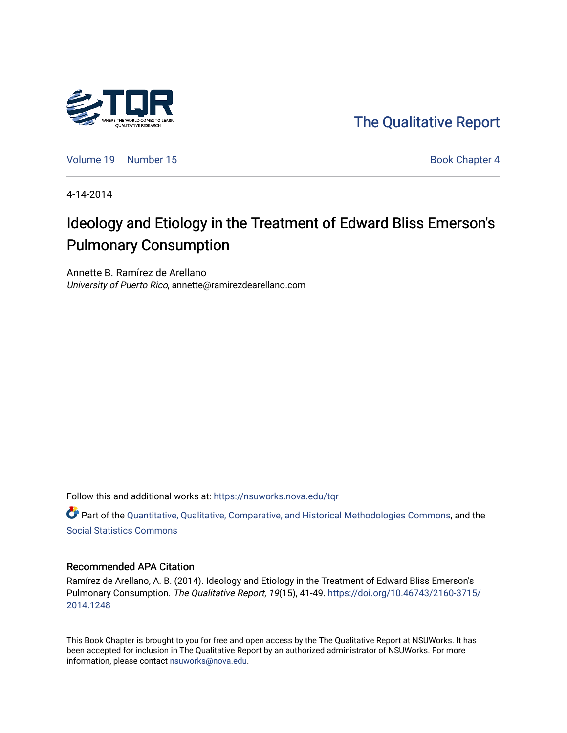

[The Qualitative Report](https://nsuworks.nova.edu/tqr) 

[Volume 19](https://nsuworks.nova.edu/tqr/vol19) [Number 15](https://nsuworks.nova.edu/tqr/vol19/iss15) Book Chapter 4

4-14-2014

## Ideology and Etiology in the Treatment of Edward Bliss Emerson's Pulmonary Consumption

Annette B. Ramírez de Arellano University of Puerto Rico, annette@ramirezdearellano.com

Follow this and additional works at: [https://nsuworks.nova.edu/tqr](https://nsuworks.nova.edu/tqr?utm_source=nsuworks.nova.edu%2Ftqr%2Fvol19%2Fiss15%2F4&utm_medium=PDF&utm_campaign=PDFCoverPages) 

Part of the [Quantitative, Qualitative, Comparative, and Historical Methodologies Commons,](http://network.bepress.com/hgg/discipline/423?utm_source=nsuworks.nova.edu%2Ftqr%2Fvol19%2Fiss15%2F4&utm_medium=PDF&utm_campaign=PDFCoverPages) and the [Social Statistics Commons](http://network.bepress.com/hgg/discipline/1275?utm_source=nsuworks.nova.edu%2Ftqr%2Fvol19%2Fiss15%2F4&utm_medium=PDF&utm_campaign=PDFCoverPages) 

#### Recommended APA Citation

Ramírez de Arellano, A. B. (2014). Ideology and Etiology in the Treatment of Edward Bliss Emerson's Pulmonary Consumption. The Qualitative Report, 19(15), 41-49. [https://doi.org/10.46743/2160-3715/](https://doi.org/10.46743/2160-3715/2014.1248) [2014.1248](https://doi.org/10.46743/2160-3715/2014.1248) 

This Book Chapter is brought to you for free and open access by the The Qualitative Report at NSUWorks. It has been accepted for inclusion in The Qualitative Report by an authorized administrator of NSUWorks. For more information, please contact [nsuworks@nova.edu.](mailto:nsuworks@nova.edu)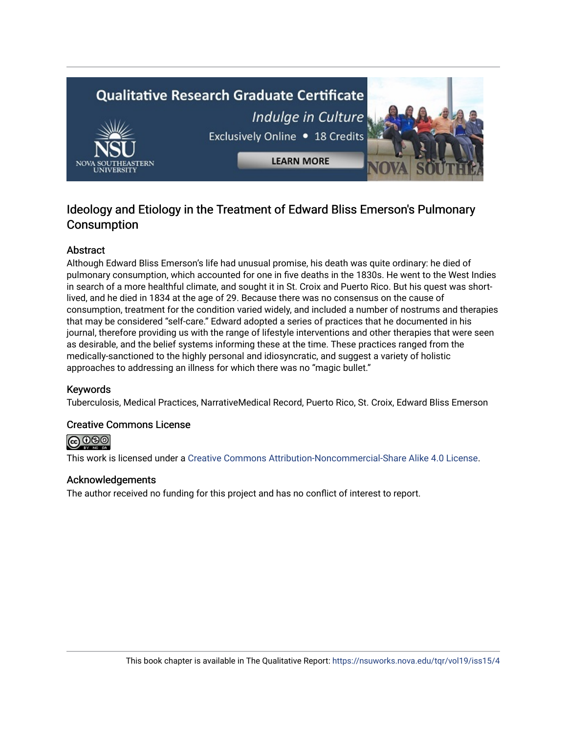# **Qualitative Research Graduate Certificate** Indulge in Culture Exclusively Online . 18 Credits **LEARN MORE**

### Ideology and Etiology in the Treatment of Edward Bliss Emerson's Pulmonary **Consumption**

#### Abstract

Although Edward Bliss Emerson's life had unusual promise, his death was quite ordinary: he died of pulmonary consumption, which accounted for one in five deaths in the 1830s. He went to the West Indies in search of a more healthful climate, and sought it in St. Croix and Puerto Rico. But his quest was shortlived, and he died in 1834 at the age of 29. Because there was no consensus on the cause of consumption, treatment for the condition varied widely, and included a number of nostrums and therapies that may be considered "self-care." Edward adopted a series of practices that he documented in his journal, therefore providing us with the range of lifestyle interventions and other therapies that were seen as desirable, and the belief systems informing these at the time. These practices ranged from the medically-sanctioned to the highly personal and idiosyncratic, and suggest a variety of holistic approaches to addressing an illness for which there was no "magic bullet."

#### Keywords

Tuberculosis, Medical Practices, NarrativeMedical Record, Puerto Rico, St. Croix, Edward Bliss Emerson

#### Creative Commons License



This work is licensed under a [Creative Commons Attribution-Noncommercial-Share Alike 4.0 License](https://creativecommons.org/licenses/by-nc-sa/4.0/).

#### Acknowledgements

The author received no funding for this project and has no conflict of interest to report.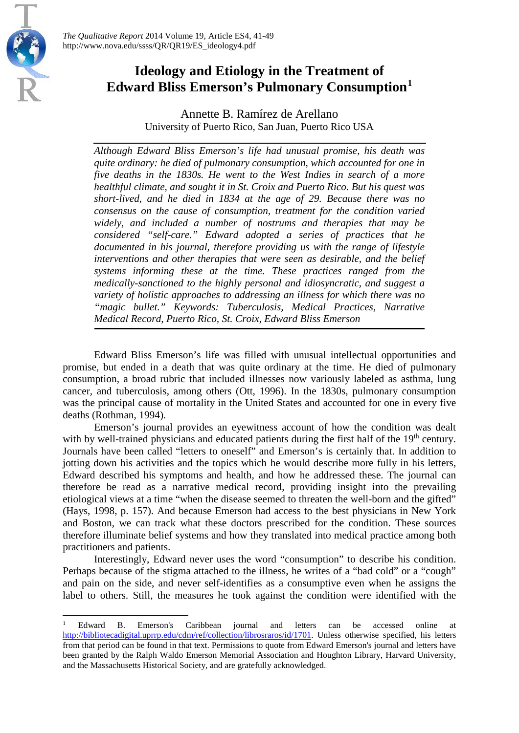

 $\overline{a}$ 

*The Qualitative Report* 2014 Volume 19, Article ES4, 41-49 http://www.nova.edu/ssss/QR/QR19/ES\_ideology4.pdf

## **Ideology and Etiology in the Treatment of Edward Bliss Emerson's Pulmonary Consumption[1](#page-2-0)**

Annette B. Ramírez de Arellano University of Puerto Rico, San Juan, Puerto Rico USA

*Although Edward Bliss Emerson's life had unusual promise, his death was quite ordinary: he died of pulmonary consumption, which accounted for one in five deaths in the 1830s. He went to the West Indies in search of a more healthful climate, and sought it in St. Croix and Puerto Rico. But his quest was short-lived, and he died in 1834 at the age of 29. Because there was no consensus on the cause of consumption, treatment for the condition varied widely, and included a number of nostrums and therapies that may be considered "self-care." Edward adopted a series of practices that he documented in his journal, therefore providing us with the range of lifestyle interventions and other therapies that were seen as desirable, and the belief systems informing these at the time. These practices ranged from the medically-sanctioned to the highly personal and idiosyncratic, and suggest a variety of holistic approaches to addressing an illness for which there was no "magic bullet." Keywords: Tuberculosis, Medical Practices, Narrative Medical Record, Puerto Rico, St. Croix, Edward Bliss Emerson*

Edward Bliss Emerson's life was filled with unusual intellectual opportunities and promise, but ended in a death that was quite ordinary at the time. He died of pulmonary consumption, a broad rubric that included illnesses now variously labeled as asthma, lung cancer, and tuberculosis, among others (Ott, 1996). In the 1830s, pulmonary consumption was the principal cause of mortality in the United States and accounted for one in every five deaths (Rothman, 1994).

Emerson's journal provides an eyewitness account of how the condition was dealt with by well-trained physicians and educated patients during the first half of the 19<sup>th</sup> century. Journals have been called "letters to oneself" and Emerson's is certainly that. In addition to jotting down his activities and the topics which he would describe more fully in his letters, Edward described his symptoms and health, and how he addressed these. The journal can therefore be read as a narrative medical record, providing insight into the prevailing etiological views at a time "when the disease seemed to threaten the well-born and the gifted" (Hays, 1998, p. 157). And because Emerson had access to the best physicians in New York and Boston, we can track what these doctors prescribed for the condition. These sources therefore illuminate belief systems and how they translated into medical practice among both practitioners and patients.

Interestingly, Edward never uses the word "consumption" to describe his condition. Perhaps because of the stigma attached to the illness, he writes of a "bad cold" or a "cough" and pain on the side, and never self-identifies as a consumptive even when he assigns the label to others. Still, the measures he took against the condition were identified with the

<span id="page-2-0"></span><sup>&</sup>lt;sup>1</sup> Edward B. Emerson's Caribbean journal and letters can be accessed online at [http://bibliotecadigital.uprrp.edu/cdm/ref/collection/librosraros/id/1701.](http://bibliotecadigital.uprrp.edu/cdm/ref/collection/librosraros/id/1701) Unless otherwise specified, his letters from that period can be found in that text. Permissions to quote from Edward Emerson's journal and letters have been granted by the Ralph Waldo Emerson Memorial Association and Houghton Library, Harvard University, and the Massachusetts Historical Society, and are gratefully acknowledged.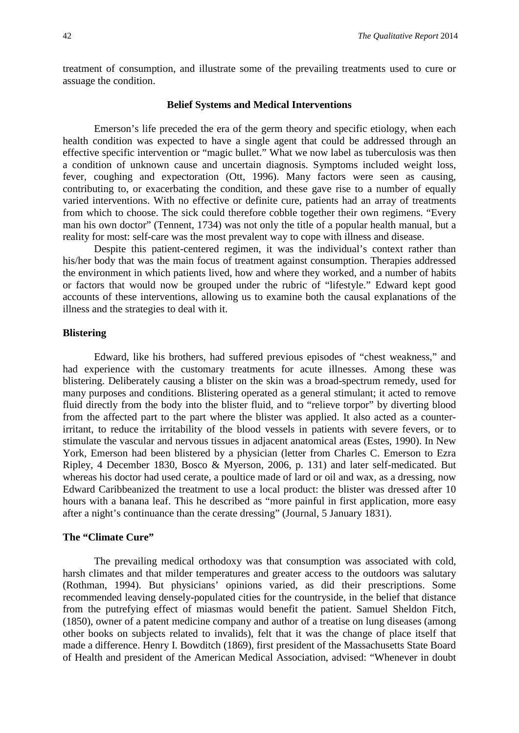treatment of consumption, and illustrate some of the prevailing treatments used to cure or assuage the condition.

#### **Belief Systems and Medical Interventions**

Emerson's life preceded the era of the germ theory and specific etiology, when each health condition was expected to have a single agent that could be addressed through an effective specific intervention or "magic bullet." What we now label as tuberculosis was then a condition of unknown cause and uncertain diagnosis. Symptoms included weight loss, fever, coughing and expectoration (Ott, 1996). Many factors were seen as causing, contributing to, or exacerbating the condition, and these gave rise to a number of equally varied interventions. With no effective or definite cure, patients had an array of treatments from which to choose. The sick could therefore cobble together their own regimens. "Every man his own doctor" (Tennent, 1734) was not only the title of a popular health manual, but a reality for most: self-care was the most prevalent way to cope with illness and disease.

Despite this patient-centered regimen, it was the individual's context rather than his/her body that was the main focus of treatment against consumption. Therapies addressed the environment in which patients lived, how and where they worked, and a number of habits or factors that would now be grouped under the rubric of "lifestyle." Edward kept good accounts of these interventions, allowing us to examine both the causal explanations of the illness and the strategies to deal with it.

#### **Blistering**

Edward, like his brothers, had suffered previous episodes of "chest weakness," and had experience with the customary treatments for acute illnesses. Among these was blistering. Deliberately causing a blister on the skin was a broad-spectrum remedy, used for many purposes and conditions. Blistering operated as a general stimulant; it acted to remove fluid directly from the body into the blister fluid, and to "relieve torpor" by diverting blood from the affected part to the part where the blister was applied. It also acted as a counterirritant, to reduce the irritability of the blood vessels in patients with severe fevers, or to stimulate the vascular and nervous tissues in adjacent anatomical areas (Estes, 1990). In New York, Emerson had been blistered by a physician (letter from Charles C. Emerson to Ezra Ripley, 4 December 1830, Bosco & Myerson, 2006, p. 131) and later self-medicated. But whereas his doctor had used cerate, a poultice made of lard or oil and wax, as a dressing, now Edward Caribbeanized the treatment to use a local product: the blister was dressed after 10 hours with a banana leaf. This he described as "more painful in first application, more easy after a night's continuance than the cerate dressing" (Journal, 5 January 1831).

#### **The "Climate Cure"**

The prevailing medical orthodoxy was that consumption was associated with cold, harsh climates and that milder temperatures and greater access to the outdoors was salutary (Rothman, 1994). But physicians' opinions varied, as did their prescriptions. Some recommended leaving densely-populated cities for the countryside, in the belief that distance from the putrefying effect of miasmas would benefit the patient. Samuel Sheldon Fitch, (1850), owner of a patent medicine company and author of a treatise on lung diseases (among other books on subjects related to invalids), felt that it was the change of place itself that made a difference. Henry I. Bowditch (1869), first president of the Massachusetts State Board of Health and president of the American Medical Association, advised: "Whenever in doubt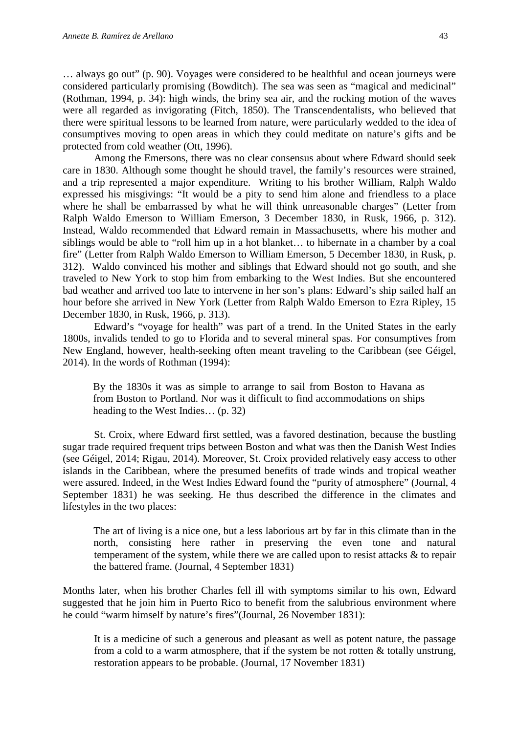… always go out" (p. 90). Voyages were considered to be healthful and ocean journeys were considered particularly promising (Bowditch). The sea was seen as "magical and medicinal" (Rothman, 1994, p. 34): high winds, the briny sea air, and the rocking motion of the waves were all regarded as invigorating (Fitch, 1850). The Transcendentalists, who believed that there were spiritual lessons to be learned from nature, were particularly wedded to the idea of consumptives moving to open areas in which they could meditate on nature's gifts and be protected from cold weather (Ott, 1996).

Among the Emersons, there was no clear consensus about where Edward should seek care in 1830. Although some thought he should travel, the family's resources were strained, and a trip represented a major expenditure. Writing to his brother William, Ralph Waldo expressed his misgivings: "It would be a pity to send him alone and friendless to a place where he shall be embarrassed by what he will think unreasonable charges" (Letter from Ralph Waldo Emerson to William Emerson, 3 December 1830, in Rusk, 1966, p. 312). Instead, Waldo recommended that Edward remain in Massachusetts, where his mother and siblings would be able to "roll him up in a hot blanket… to hibernate in a chamber by a coal fire" (Letter from Ralph Waldo Emerson to William Emerson, 5 December 1830, in Rusk, p. 312). Waldo convinced his mother and siblings that Edward should not go south, and she traveled to New York to stop him from embarking to the West Indies. But she encountered bad weather and arrived too late to intervene in her son's plans: Edward's ship sailed half an hour before she arrived in New York (Letter from Ralph Waldo Emerson to Ezra Ripley, 15 December 1830, in Rusk, 1966, p. 313).

Edward's "voyage for health" was part of a trend. In the United States in the early 1800s, invalids tended to go to Florida and to several mineral spas. For consumptives from New England, however, health-seeking often meant traveling to the Caribbean (see Géigel, 2014). In the words of Rothman (1994):

By the 1830s it was as simple to arrange to sail from Boston to Havana as from Boston to Portland. Nor was it difficult to find accommodations on ships heading to the West Indies… (p. 32)

St. Croix, where Edward first settled, was a favored destination, because the bustling sugar trade required frequent trips between Boston and what was then the Danish West Indies (see Géigel, 2014; Rigau, 2014). Moreover, St. Croix provided relatively easy access to other islands in the Caribbean, where the presumed benefits of trade winds and tropical weather were assured. Indeed, in the West Indies Edward found the "purity of atmosphere" (Journal, 4 September 1831) he was seeking. He thus described the difference in the climates and lifestyles in the two places:

The art of living is a nice one, but a less laborious art by far in this climate than in the north, consisting here rather in preserving the even tone and natural temperament of the system, while there we are called upon to resist attacks & to repair the battered frame. (Journal, 4 September 1831)

Months later, when his brother Charles fell ill with symptoms similar to his own, Edward suggested that he join him in Puerto Rico to benefit from the salubrious environment where he could "warm himself by nature's fires"(Journal, 26 November 1831):

It is a medicine of such a generous and pleasant as well as potent nature, the passage from a cold to a warm atmosphere, that if the system be not rotten  $\&$  totally unstrung, restoration appears to be probable. (Journal, 17 November 1831)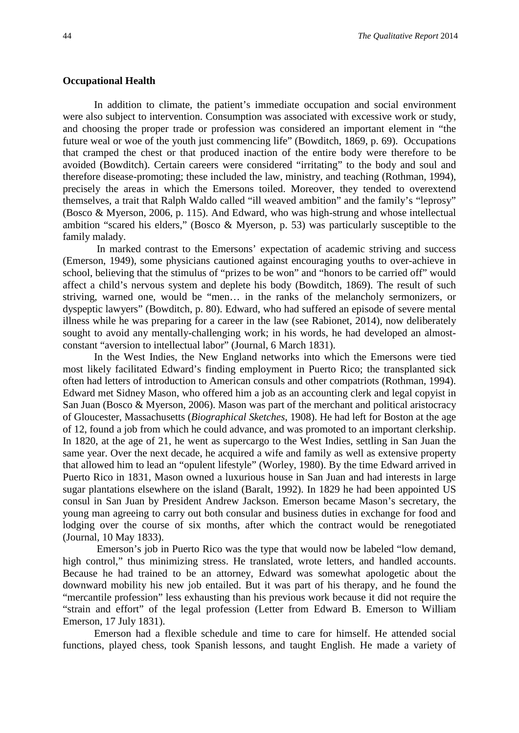#### **Occupational Health**

In addition to climate, the patient's immediate occupation and social environment were also subject to intervention. Consumption was associated with excessive work or study, and choosing the proper trade or profession was considered an important element in "the future weal or woe of the youth just commencing life" (Bowditch, 1869, p. 69). Occupations that cramped the chest or that produced inaction of the entire body were therefore to be avoided (Bowditch). Certain careers were considered "irritating" to the body and soul and therefore disease-promoting; these included the law, ministry, and teaching (Rothman, 1994), precisely the areas in which the Emersons toiled. Moreover, they tended to overextend themselves, a trait that Ralph Waldo called "ill weaved ambition" and the family's "leprosy" (Bosco & Myerson, 2006, p. 115). And Edward, who was high-strung and whose intellectual ambition "scared his elders," (Bosco & Myerson, p. 53) was particularly susceptible to the family malady.

In marked contrast to the Emersons' expectation of academic striving and success (Emerson, 1949), some physicians cautioned against encouraging youths to over-achieve in school, believing that the stimulus of "prizes to be won" and "honors to be carried off" would affect a child's nervous system and deplete his body (Bowditch, 1869). The result of such striving, warned one, would be "men… in the ranks of the melancholy sermonizers, or dyspeptic lawyers" (Bowditch, p. 80). Edward, who had suffered an episode of severe mental illness while he was preparing for a career in the law (see Rabionet, 2014), now deliberately sought to avoid any mentally-challenging work; in his words, he had developed an almostconstant "aversion to intellectual labor" (Journal, 6 March 1831).

In the West Indies, the New England networks into which the Emersons were tied most likely facilitated Edward's finding employment in Puerto Rico; the transplanted sick often had letters of introduction to American consuls and other compatriots (Rothman, 1994). Edward met Sidney Mason, who offered him a job as an accounting clerk and legal copyist in San Juan (Bosco & Myerson, 2006). Mason was part of the merchant and political aristocracy of Gloucester, Massachusetts (*Biographical Sketches*, 1908). He had left for Boston at the age of 12, found a job from which he could advance, and was promoted to an important clerkship. In 1820, at the age of 21, he went as supercargo to the West Indies, settling in San Juan the same year. Over the next decade, he acquired a wife and family as well as extensive property that allowed him to lead an "opulent lifestyle" (Worley, 1980). By the time Edward arrived in Puerto Rico in 1831, Mason owned a luxurious house in San Juan and had interests in large sugar plantations elsewhere on the island (Baralt, 1992). In 1829 he had been appointed US consul in San Juan by President Andrew Jackson. Emerson became Mason's secretary, the young man agreeing to carry out both consular and business duties in exchange for food and lodging over the course of six months, after which the contract would be renegotiated (Journal, 10 May 1833).

Emerson's job in Puerto Rico was the type that would now be labeled "low demand, high control," thus minimizing stress. He translated, wrote letters, and handled accounts. Because he had trained to be an attorney, Edward was somewhat apologetic about the downward mobility his new job entailed. But it was part of his therapy, and he found the "mercantile profession" less exhausting than his previous work because it did not require the "strain and effort" of the legal profession (Letter from Edward B. Emerson to William Emerson, 17 July 1831).

Emerson had a flexible schedule and time to care for himself. He attended social functions, played chess, took Spanish lessons, and taught English. He made a variety of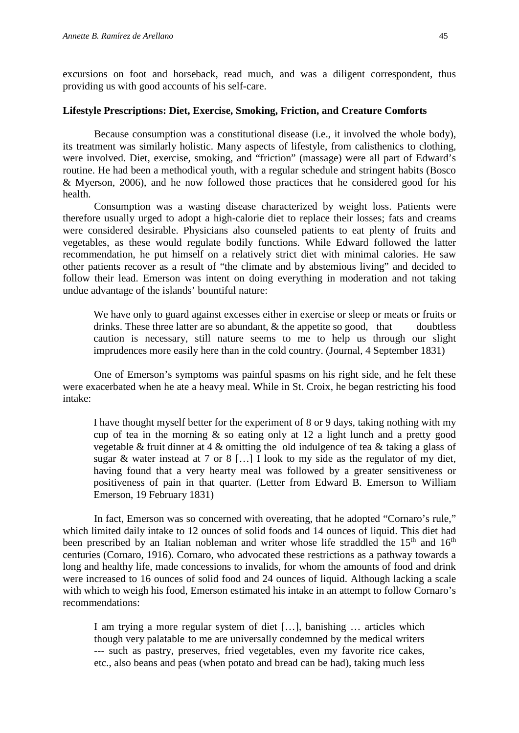excursions on foot and horseback, read much, and was a diligent correspondent, thus providing us with good accounts of his self-care.

#### **Lifestyle Prescriptions: Diet, Exercise, Smoking, Friction, and Creature Comforts**

Because consumption was a constitutional disease (i.e., it involved the whole body), its treatment was similarly holistic. Many aspects of lifestyle, from calisthenics to clothing, were involved. Diet, exercise, smoking, and "friction" (massage) were all part of Edward's routine. He had been a methodical youth, with a regular schedule and stringent habits (Bosco & Myerson, 2006), and he now followed those practices that he considered good for his health.

Consumption was a wasting disease characterized by weight loss. Patients were therefore usually urged to adopt a high-calorie diet to replace their losses; fats and creams were considered desirable. Physicians also counseled patients to eat plenty of fruits and vegetables, as these would regulate bodily functions. While Edward followed the latter recommendation, he put himself on a relatively strict diet with minimal calories. He saw other patients recover as a result of "the climate and by abstemious living" and decided to follow their lead. Emerson was intent on doing everything in moderation and not taking undue advantage of the islands' bountiful nature:

We have only to guard against excesses either in exercise or sleep or meats or fruits or drinks. These three latter are so abundant,  $\&$  the appetite so good, that doubtless caution is necessary, still nature seems to me to help us through our slight imprudences more easily here than in the cold country. (Journal, 4 September 1831)

One of Emerson's symptoms was painful spasms on his right side, and he felt these were exacerbated when he ate a heavy meal. While in St. Croix, he began restricting his food intake:

I have thought myself better for the experiment of 8 or 9 days, taking nothing with my cup of tea in the morning  $\&$  so eating only at 12 a light lunch and a pretty good vegetable & fruit dinner at 4 & omitting the old indulgence of tea & taking a glass of sugar & water instead at 7 or 8 [...] I look to my side as the regulator of my diet, having found that a very hearty meal was followed by a greater sensitiveness or positiveness of pain in that quarter. (Letter from Edward B. Emerson to William Emerson, 19 February 1831)

In fact, Emerson was so concerned with overeating, that he adopted "Cornaro's rule," which limited daily intake to 12 ounces of solid foods and 14 ounces of liquid. This diet had been prescribed by an Italian nobleman and writer whose life straddled the  $15<sup>th</sup>$  and  $16<sup>th</sup>$ centuries (Cornaro, 1916). Cornaro, who advocated these restrictions as a pathway towards a long and healthy life, made concessions to invalids, for whom the amounts of food and drink were increased to 16 ounces of solid food and 24 ounces of liquid. Although lacking a scale with which to weigh his food, Emerson estimated his intake in an attempt to follow Cornaro's recommendations:

I am trying a more regular system of diet […], banishing … articles which though very palatable to me are universally condemned by the medical writers --- such as pastry, preserves, fried vegetables, even my favorite rice cakes, etc., also beans and peas (when potato and bread can be had), taking much less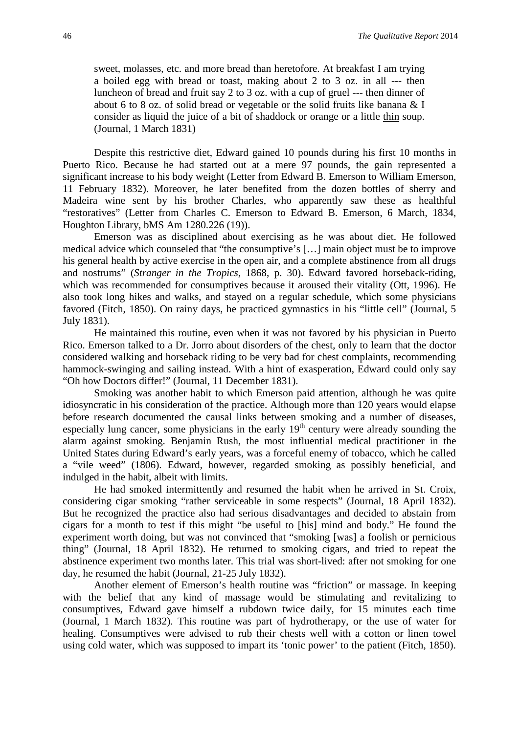sweet, molasses, etc. and more bread than heretofore. At breakfast I am trying a boiled egg with bread or toast, making about 2 to 3 oz. in all --- then luncheon of bread and fruit say 2 to 3 oz. with a cup of gruel --- then dinner of about 6 to 8 oz. of solid bread or vegetable or the solid fruits like banana & I consider as liquid the juice of a bit of shaddock or orange or a little thin soup. (Journal, 1 March 1831)

Despite this restrictive diet, Edward gained 10 pounds during his first 10 months in Puerto Rico. Because he had started out at a mere 97 pounds, the gain represented a significant increase to his body weight (Letter from Edward B. Emerson to William Emerson, 11 February 1832). Moreover, he later benefited from the dozen bottles of sherry and Madeira wine sent by his brother Charles, who apparently saw these as healthful "restoratives" (Letter from Charles C. Emerson to Edward B. Emerson, 6 March, 1834, Houghton Library, bMS Am 1280.226 (19)).

Emerson was as disciplined about exercising as he was about diet. He followed medical advice which counseled that "the consumptive's […] main object must be to improve his general health by active exercise in the open air, and a complete abstinence from all drugs and nostrums" (*Stranger in the Tropics,* 1868, p. 30). Edward favored horseback-riding, which was recommended for consumptives because it aroused their vitality (Ott, 1996). He also took long hikes and walks, and stayed on a regular schedule, which some physicians favored (Fitch, 1850). On rainy days, he practiced gymnastics in his "little cell" (Journal, 5 July 1831).

He maintained this routine, even when it was not favored by his physician in Puerto Rico. Emerson talked to a Dr. Jorro about disorders of the chest, only to learn that the doctor considered walking and horseback riding to be very bad for chest complaints, recommending hammock-swinging and sailing instead. With a hint of exasperation, Edward could only say "Oh how Doctors differ!" (Journal, 11 December 1831).

Smoking was another habit to which Emerson paid attention, although he was quite idiosyncratic in his consideration of the practice. Although more than 120 years would elapse before research documented the causal links between smoking and a number of diseases, especially lung cancer, some physicians in the early  $19<sup>th</sup>$  century were already sounding the alarm against smoking. Benjamin Rush, the most influential medical practitioner in the United States during Edward's early years, was a forceful enemy of tobacco, which he called a "vile weed" (1806). Edward, however, regarded smoking as possibly beneficial, and indulged in the habit, albeit with limits.

He had smoked intermittently and resumed the habit when he arrived in St. Croix, considering cigar smoking "rather serviceable in some respects" (Journal, 18 April 1832). But he recognized the practice also had serious disadvantages and decided to abstain from cigars for a month to test if this might "be useful to [his] mind and body." He found the experiment worth doing, but was not convinced that "smoking [was] a foolish or pernicious thing" (Journal, 18 April 1832). He returned to smoking cigars, and tried to repeat the abstinence experiment two months later. This trial was short-lived: after not smoking for one day, he resumed the habit (Journal, 21-25 July 1832).

Another element of Emerson's health routine was "friction" or massage. In keeping with the belief that any kind of massage would be stimulating and revitalizing to consumptives, Edward gave himself a rubdown twice daily, for 15 minutes each time (Journal, 1 March 1832). This routine was part of hydrotherapy, or the use of water for healing. Consumptives were advised to rub their chests well with a cotton or linen towel using cold water, which was supposed to impart its 'tonic power' to the patient (Fitch, 1850).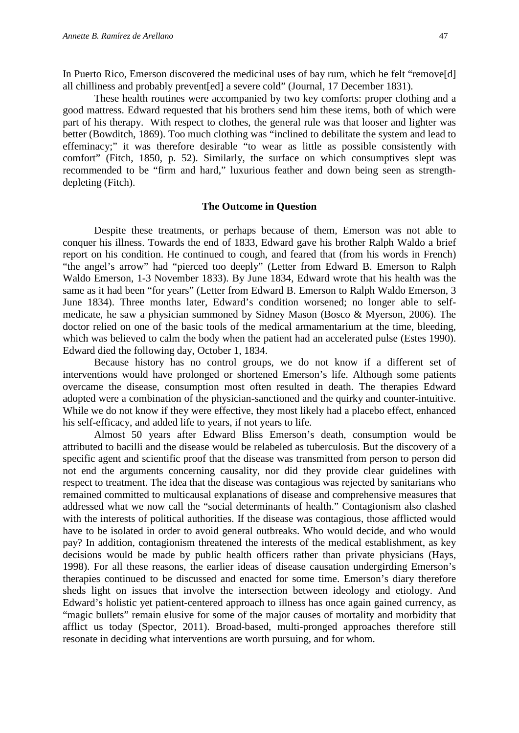In Puerto Rico, Emerson discovered the medicinal uses of bay rum, which he felt "remove[d] all chilliness and probably prevent[ed] a severe cold" (Journal, 17 December 1831).

These health routines were accompanied by two key comforts: proper clothing and a good mattress. Edward requested that his brothers send him these items, both of which were part of his therapy. With respect to clothes, the general rule was that looser and lighter was better (Bowditch, 1869). Too much clothing was "inclined to debilitate the system and lead to effeminacy;" it was therefore desirable "to wear as little as possible consistently with comfort" (Fitch, 1850, p. 52). Similarly, the surface on which consumptives slept was recommended to be "firm and hard," luxurious feather and down being seen as strengthdepleting (Fitch).

#### **The Outcome in Question**

Despite these treatments, or perhaps because of them, Emerson was not able to conquer his illness. Towards the end of 1833, Edward gave his brother Ralph Waldo a brief report on his condition. He continued to cough, and feared that (from his words in French) "the angel's arrow" had "pierced too deeply" (Letter from Edward B. Emerson to Ralph Waldo Emerson, 1-3 November 1833). By June 1834, Edward wrote that his health was the same as it had been "for years" (Letter from Edward B. Emerson to Ralph Waldo Emerson, 3 June 1834). Three months later, Edward's condition worsened; no longer able to selfmedicate, he saw a physician summoned by Sidney Mason (Bosco & Myerson, 2006). The doctor relied on one of the basic tools of the medical armamentarium at the time, bleeding, which was believed to calm the body when the patient had an accelerated pulse (Estes 1990). Edward died the following day, October 1, 1834.

Because history has no control groups, we do not know if a different set of interventions would have prolonged or shortened Emerson's life. Although some patients overcame the disease, consumption most often resulted in death. The therapies Edward adopted were a combination of the physician-sanctioned and the quirky and counter-intuitive. While we do not know if they were effective, they most likely had a placebo effect, enhanced his self-efficacy, and added life to years, if not years to life.

Almost 50 years after Edward Bliss Emerson's death, consumption would be attributed to bacilli and the disease would be relabeled as tuberculosis. But the discovery of a specific agent and scientific proof that the disease was transmitted from person to person did not end the arguments concerning causality, nor did they provide clear guidelines with respect to treatment. The idea that the disease was contagious was rejected by sanitarians who remained committed to multicausal explanations of disease and comprehensive measures that addressed what we now call the "social determinants of health." Contagionism also clashed with the interests of political authorities. If the disease was contagious, those afflicted would have to be isolated in order to avoid general outbreaks. Who would decide, and who would pay? In addition, contagionism threatened the interests of the medical establishment, as key decisions would be made by public health officers rather than private physicians (Hays, 1998). For all these reasons, the earlier ideas of disease causation undergirding Emerson's therapies continued to be discussed and enacted for some time. Emerson's diary therefore sheds light on issues that involve the intersection between ideology and etiology. And Edward's holistic yet patient-centered approach to illness has once again gained currency, as "magic bullets" remain elusive for some of the major causes of mortality and morbidity that afflict us today (Spector, 2011). Broad-based, multi-pronged approaches therefore still resonate in deciding what interventions are worth pursuing, and for whom.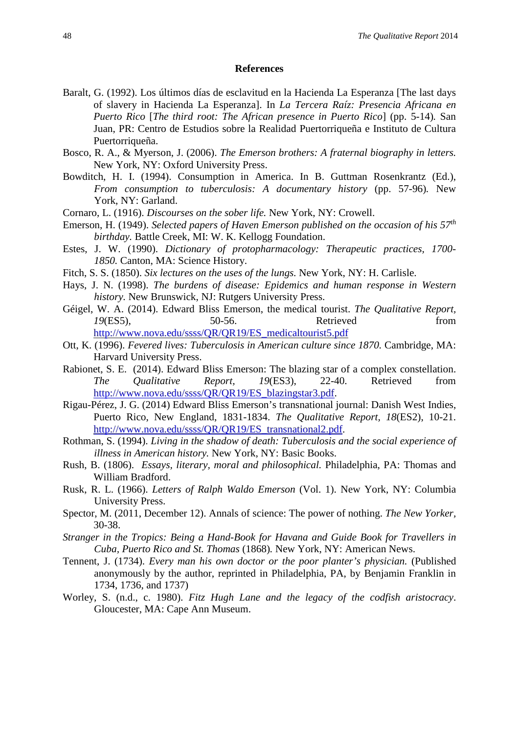#### **References**

- Baralt, G. (1992). Los últimos días de esclavitud en la Hacienda La Esperanza [The last days of slavery in Hacienda La Esperanza]. In *La Tercera Raíz: Presencia Africana en Puerto Rico* [*The third root: The African presence in Puerto Rico*] (pp. 5-14)*.* San Juan, PR: Centro de Estudios sobre la Realidad Puertorriqueña e Instituto de Cultura Puertorriqueña.
- Bosco, R. A., & Myerson, J. (2006). *The Emerson brothers: A fraternal biography in letters.* New York, NY: Oxford University Press.
- Bowditch, H. I. (1994). Consumption in America. In B. Guttman Rosenkrantz (Ed.), *From consumption to tuberculosis: A documentary history* (pp. 57-96)*.* New York, NY: Garland.
- Cornaro, L. (1916). *Discourses on the sober life.* New York, NY: Crowell.
- Emerson, H. (1949). *Selected papers of Haven Emerson published on the occasion of his 57th birthday.* Battle Creek, MI: W. K. Kellogg Foundation.
- Estes, J. W. (1990). *Dictionary of protopharmacology: Therapeutic practices, 1700- 1850.* Canton, MA: Science History.
- Fitch, S. S. (1850). *Six lectures on the uses of the lungs.* New York, NY: H. Carlisle.
- Hays, J. N. (1998). *The burdens of disease: Epidemics and human response in Western history.* New Brunswick, NJ: Rutgers University Press.
- Géigel, W. A. (2014). Edward Bliss Emerson, the medical tourist. *The Qualitative Report, 19*(ES5), 50-56. Retrieved from [http://www.nova.edu/ssss/QR/QR19/ES\\_medicaltourist5.pdf](http://www.nova.edu/ssss/QR/QR19/ES_medicaltourist5.pdf)
- Ott, K. (1996). *Fevered lives: Tuberculosis in American culture since 1870*. Cambridge, MA: Harvard University Press.
- Rabionet, S. E. (2014). Edward Bliss Emerson: The blazing star of a complex constellation. *The Qualitative Report, 19*(ES3), 22-40. Retrieved from [http://www.nova.edu/ssss/QR/QR19/ES\\_blazingstar3.pdf.](http://www.nova.edu/ssss/QR/QR19/ES_blazingstar3.pdf)
- Rigau-Pérez, J. G. (2014) Edward Bliss Emerson's transnational journal: Danish West Indies, Puerto Rico, New England, 1831-1834. *The Qualitative Report, 18*(ES2), 10-21. [http://www.nova.edu/ssss/QR/QR19/ES\\_transnational2.pdf.](http://www.nova.edu/ssss/QR/QR19/ES_transnational2.pdf)
- Rothman, S. (1994). *Living in the shadow of death: Tuberculosis and the social experience of illness in American history.* New York, NY: Basic Books.
- Rush, B. (1806). *Essays, literary, moral and philosophical.* Philadelphia, PA: Thomas and William Bradford.
- Rusk, R. L. (1966). *Letters of Ralph Waldo Emerson* (Vol. 1). New York, NY: Columbia University Press.
- Spector, M. (2011, December 12). Annals of science: The power of nothing. *The New Yorker,*  30-38.
- *Stranger in the Tropics: Being a Hand-Book for Havana and Guide Book for Travellers in Cuba, Puerto Rico and St. Thomas* (1868)*.* New York, NY: American News.
- Tennent, J. (1734). *Every man his own doctor or the poor planter's physician.* (Published anonymously by the author, reprinted in Philadelphia, PA, by Benjamin Franklin in 1734, 1736, and 1737)
- Worley, S. (n.d., c. 1980). *Fitz Hugh Lane and the legacy of the codfish aristocracy*. Gloucester, MA: Cape Ann Museum.